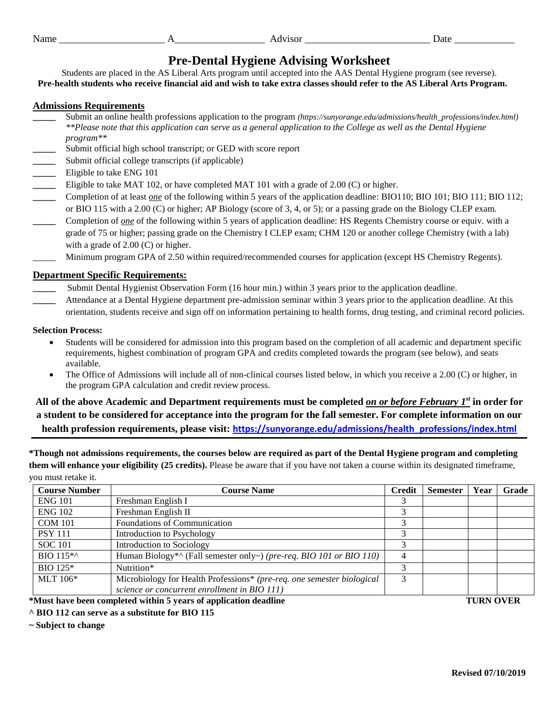## **Pre-Dental Hygiene Advising Worksheet**

Students are placed in the AS Liberal Arts program until accepted into the AAS Dental Hygiene program (see reverse). **Pre-health students who receive financial aid and wish to take extra classes should refer to the AS Liberal Arts Program.**

## **Admissions Requirements**

- **\_\_\_\_\_** Submit an online health professions application to the program *(https://sunyorange.edu/admissions/health\_professions/index.html) \*\*Please note that this application can serve as a general application to the College as well as the Dental Hygiene program\*\**
- Submit official high school transcript; or GED with score report
- Submit official college transcripts (if applicable)
- **\_\_\_\_\_** Eligible to take ENG 101
- Eligible to take MAT 102, or have completed MAT 101 with a grade of 2.00 (C) or higher.
- **\_\_\_\_\_** Completion of at least *one* of the following within 5 years of the application deadline: BIO110; BIO 101; BIO 111; BIO 112; or BIO 115 with a 2.00 (C) or higher; AP Biology (score of 3, 4, or 5); or a passing grade on the Biology CLEP exam.
- **\_\_\_\_\_** Completion of *one* of the following within 5 years of application deadline: HS Regents Chemistry course or equiv. with a grade of 75 or higher; passing grade on the Chemistry I CLEP exam; CHM 120 or another college Chemistry (with a lab) with a grade of 2.00 (C) or higher.
- \_\_\_\_\_ Minimum program GPA of 2.50 within required/recommended courses for application (except HS Chemistry Regents).

## **Department Specific Requirements:**

Submit Dental Hygienist Observation Form (16 hour min.) within 3 years prior to the application deadline.

**\_\_\_\_\_** Attendance at a Dental Hygiene department pre-admission seminar within 3 years prior to the application deadline. At this orientation, students receive and sign off on information pertaining to health forms, drug testing, and criminal record policies.

## **Selection Process:**

- Students will be considered for admission into this program based on the completion of all academic and department specific requirements, highest combination of program GPA and credits completed towards the program (see below), and seats available.
- The Office of Admissions will include all of non-clinical courses listed below, in which you receive a 2.00 (C) or higher, in the program GPA calculation and credit review process.

**All of the above Academic and Department requirements must be completed** *on or before February 1st* **in order for a student to be considered for acceptance into the program for the fall semester. For complete information on our health profession requirements, please visit: [https://sunyorange.edu/admissions/health\\_professions/index.html](https://sunyorange.edu/admissions/health_professions/index.html)**

**\*Though not admissions requirements, the courses below are required as part of the Dental Hygiene program and completing them will enhance your eligibility (25 credits).** Please be aware that if you have not taken a course within its designated timeframe, you must retake it.

| <b>Course Number</b>                                             | <b>Course Name</b>                                                     | Credit           | <b>Semester</b> | Year | Grade |
|------------------------------------------------------------------|------------------------------------------------------------------------|------------------|-----------------|------|-------|
| <b>ENG 101</b>                                                   | Freshman English I                                                     |                  |                 |      |       |
| <b>ENG 102</b>                                                   | Freshman English II                                                    | 3                |                 |      |       |
| <b>COM 101</b>                                                   | Foundations of Communication                                           | 3                |                 |      |       |
| <b>PSY 111</b>                                                   | Introduction to Psychology                                             | 3                |                 |      |       |
| <b>SOC</b> 101                                                   | Introduction to Sociology                                              | 3                |                 |      |       |
| BIO 115 <sup>*</sup>                                             | Human Biology*^ (Fall semester only~) (pre-req. BIO 101 or BIO 110)    | 4                |                 |      |       |
| $BIO$ 125*                                                       | Nutrition*                                                             | 3                |                 |      |       |
| MLT $106*$                                                       | Microbiology for Health Professions* (pre-req. one semester biological | 3                |                 |      |       |
|                                                                  | science or concurrent enrollment in BIO 111)                           |                  |                 |      |       |
| *Must have been completed within 5 years of application deadline |                                                                        | <b>TURN OVER</b> |                 |      |       |

**^ BIO 112 can serve as a substitute for BIO 115**

**~ Subject to change**